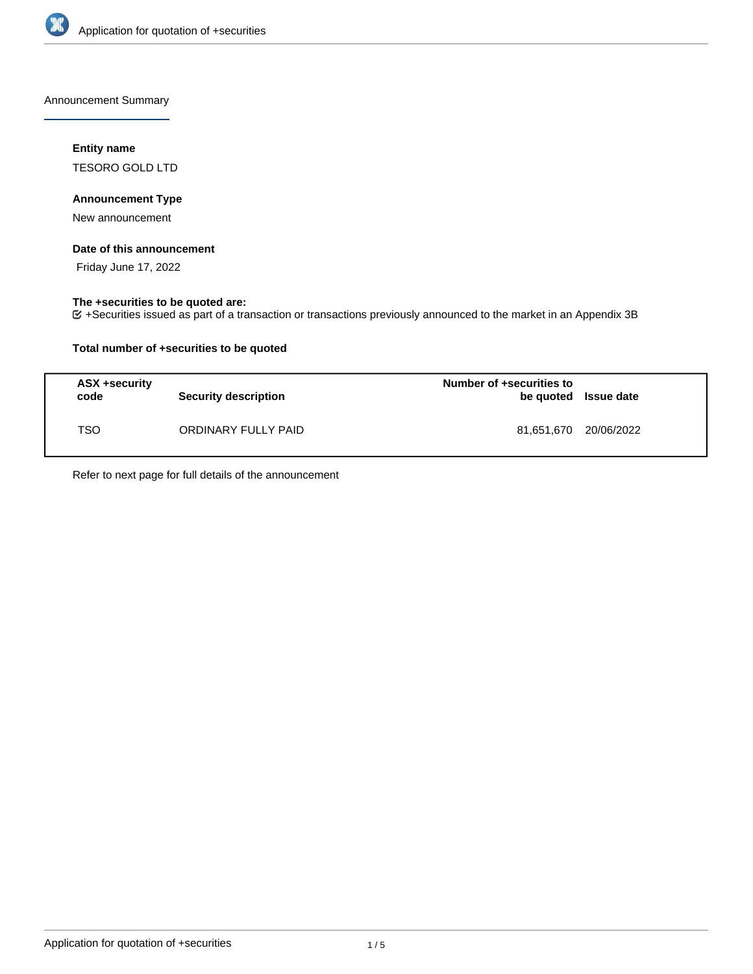

Announcement Summary

## **Entity name**

TESORO GOLD LTD

## **Announcement Type**

New announcement

### **Date of this announcement**

Friday June 17, 2022

## **The +securities to be quoted are:**

+Securities issued as part of a transaction or transactions previously announced to the market in an Appendix 3B

## **Total number of +securities to be quoted**

| ASX +security<br>code | <b>Security description</b> | Number of +securities to<br>be quoted Issue date |  |
|-----------------------|-----------------------------|--------------------------------------------------|--|
| TSO                   | ORDINARY FULLY PAID         | 81,651,670 20/06/2022                            |  |

Refer to next page for full details of the announcement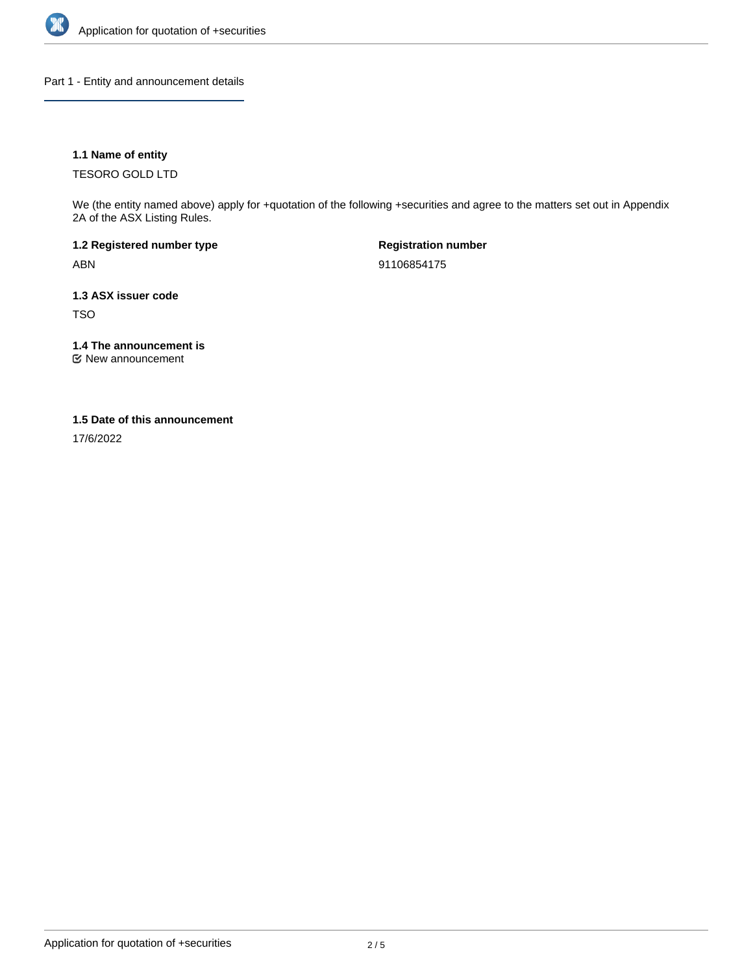

Part 1 - Entity and announcement details

## **1.1 Name of entity**

TESORO GOLD LTD

We (the entity named above) apply for +quotation of the following +securities and agree to the matters set out in Appendix 2A of the ASX Listing Rules.

**1.2 Registered number type** ABN

**Registration number** 91106854175

**1.3 ASX issuer code** TSO

**1.4 The announcement is**

New announcement

### **1.5 Date of this announcement**

17/6/2022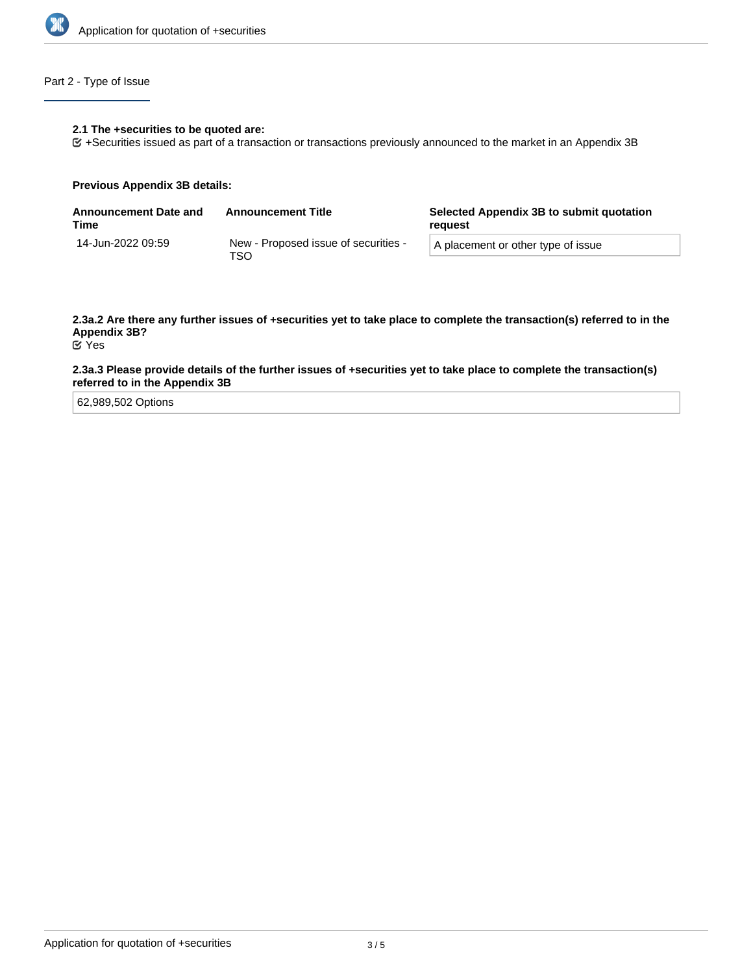

## Part 2 - Type of Issue

#### **2.1 The +securities to be quoted are:**

+Securities issued as part of a transaction or transactions previously announced to the market in an Appendix 3B

#### **Previous Appendix 3B details:**

| <b>Announcement Date and</b><br>Time | <b>Announcement Title</b>                    | Selected Appendix 3B to submit quotation<br>reguest |
|--------------------------------------|----------------------------------------------|-----------------------------------------------------|
| 14-Jun-2022 09:59                    | New - Proposed issue of securities -<br>TSO. | A placement or other type of issue                  |

# **2.3a.2 Are there any further issues of +securities yet to take place to complete the transaction(s) referred to in the Appendix 3B?**

Yes

### **2.3a.3 Please provide details of the further issues of +securities yet to take place to complete the transaction(s) referred to in the Appendix 3B**

62,989,502 Options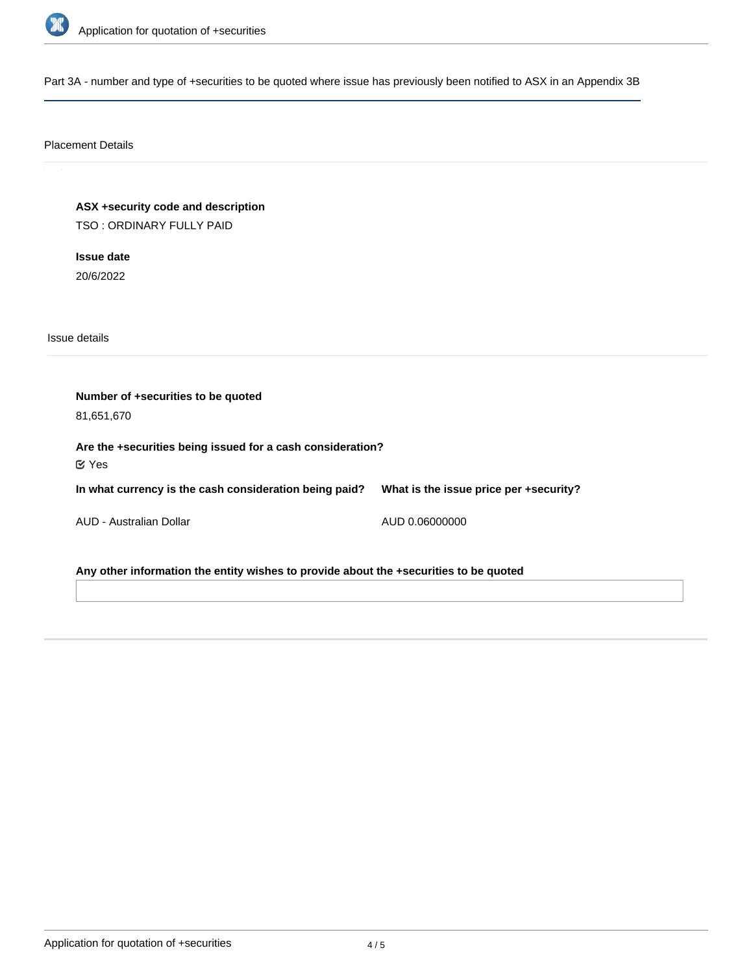

Part 3A - number and type of +securities to be quoted where issue has previously been notified to ASX in an Appendix 3B

## Placement Details

**ASX +security code and description** TSO : ORDINARY FULLY PAID

**Issue date** 20/6/2022

Issue details

**Number of +securities to be quoted** 81,651,670 **Are the +securities being issued for a cash consideration? In what currency is the cash consideration being paid?** AUD - Australian Dollar **What is the issue price per +security?** AUD 0.06000000 Yes

**Any other information the entity wishes to provide about the +securities to be quoted**